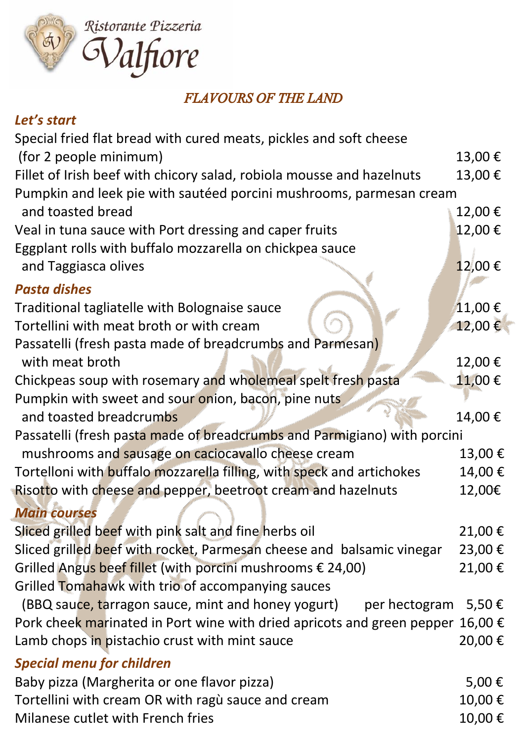

## *FLAVOURS OF THE LAND*

## *Let's start*

| Special fried flat bread with cured meats, pickles and soft cheese             |        |
|--------------------------------------------------------------------------------|--------|
| (for 2 people minimum)                                                         | 13,00€ |
| Fillet of Irish beef with chicory salad, robiola mousse and hazelnuts          | 13,00€ |
| Pumpkin and leek pie with sautéed porcini mushrooms, parmesan cream            |        |
| and toasted bread                                                              | 12,00€ |
| Veal in tuna sauce with Port dressing and caper fruits                         | 12,00€ |
| Eggplant rolls with buffalo mozzarella on chickpea sauce                       |        |
| and Taggiasca olives                                                           | 12,00€ |
| <b>Pasta dishes</b>                                                            |        |
| Traditional tagliatelle with Bolognaise sauce                                  | 11,00€ |
| Tortellini with meat broth or with cream                                       | 12,00€ |
| Passatelli (fresh pasta made of breadcrumbs and Parmesan)                      |        |
| with meat broth                                                                | 12,00€ |
| Chickpeas soup with rosemary and wholemeal spelt fresh pasta                   | 11,00€ |
| Pumpkin with sweet and sour onion, bacon, pine nuts                            |        |
| and toasted breadcrumbs                                                        | 14,00€ |
| Passatelli (fresh pasta made of breadcrumbs and Parmigiano) with porcini       |        |
| mushrooms and sausage on caciocavallo cheese cream                             | 13,00€ |
| Tortelloni with buffalo mozzarella filling, with speck and artichokes          | 14,00€ |
| Risotto with cheese and pepper, beetroot cream and hazelnuts                   | 12,00€ |
| <b>Main courses</b>                                                            |        |
| Sliced grilled beef with pink salt and fine herbs oil                          | 21,00€ |
| Sliced grilled beef with rocket, Parmesan cheese and balsamic vinegar          | 23,00€ |
| Grilled Angus beef fillet (with porcini mushrooms € 24,00)                     | 21,00€ |
| Grilled Tomahawk with trio of accompanying sauces                              |        |
| (BBQ sauce, tarragon sauce, mint and honey yogurt)<br>per hectogram            | 5,50€  |
| Pork cheek marinated in Port wine with dried apricots and green pepper 16,00 € |        |
| Lamb chops in pistachio crust with mint sauce                                  | 20,00€ |
| <b>Special menu for children</b>                                               |        |
| Baby pizza (Margherita or one flavor pizza)                                    | 5,00€  |
| Tortellini with cream OR with ragù sauce and cream                             | 10,00€ |
| Milanese cutlet with French fries                                              | 10,00€ |